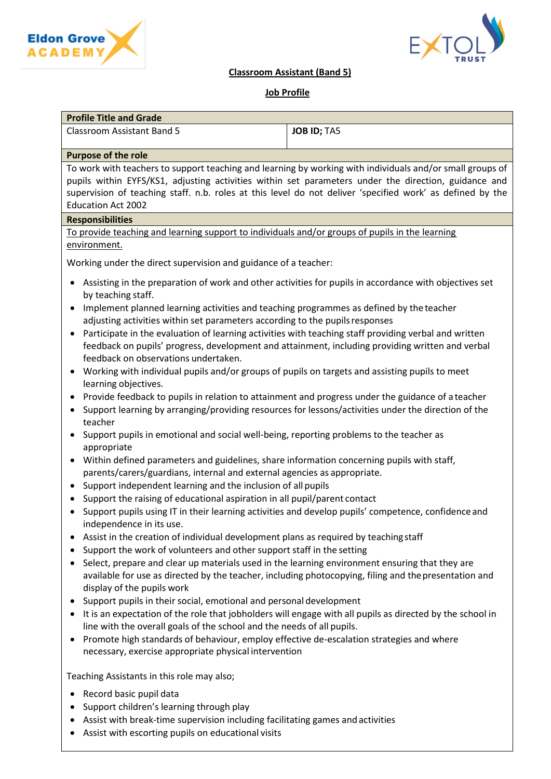



## **Classroom Assistant (Band 5)**

# **Job Profile**

| <b>Profile Title and Grade</b> |                    |
|--------------------------------|--------------------|
| Classroom Assistant Band 5     | <b>JOB ID: TA5</b> |

### **Purpose of the role**

To work with teachers to support teaching and learning by working with individuals and/or small groups of pupils within EYFS/KS1, adjusting activities within set parameters under the direction, guidance and supervision of teaching staff. n.b. roles at this level do not deliver 'specified work' as defined by the Education Act 2002

#### **Responsibilities**

To provide teaching and learning support to individuals and/or groups of pupils in the learning environment.

Working under the direct supervision and guidance of a teacher:

- Assisting in the preparation of work and other activities for pupils in accordance with objectives set by teaching staff.
- Implement planned learning activities and teaching programmes as defined by the teacher adjusting activities within set parameters according to the pupilsresponses
- Participate in the evaluation of learning activities with teaching staff providing verbal and written feedback on pupils' progress, development and attainment, including providing written and verbal feedback on observations undertaken.
- Working with individual pupils and/or groups of pupils on targets and assisting pupils to meet learning objectives.
- Provide feedback to pupils in relation to attainment and progress under the guidance of a teacher
- Support learning by arranging/providing resources for lessons/activities under the direction of the teacher
- Support pupils in emotional and social well-being, reporting problems to the teacher as appropriate
- Within defined parameters and guidelines, share information concerning pupils with staff, parents/carers/guardians, internal and external agencies as appropriate.
- Support independent learning and the inclusion of all pupils
- Support the raising of educational aspiration in all pupil/parent contact
- Support pupils using IT in their learning activities and develop pupils' competence, confidenceand independence in its use.
- Assist in the creation of individual development plans as required by teachingstaff
- Support the work of volunteers and other support staff in the setting
- Select, prepare and clear up materials used in the learning environment ensuring that they are available for use as directed by the teacher, including photocopying, filing and thepresentation and display of the pupils work
- Support pupils in their social, emotional and personal development
- It is an expectation of the role that jobholders will engage with all pupils as directed by the school in line with the overall goals of the school and the needs of all pupils.
- Promote high standards of behaviour, employ effective de-escalation strategies and where necessary, exercise appropriate physical intervention

Teaching Assistants in this role may also;

- Record basic pupil data
- Support children's learning through play
- Assist with break-time supervision including facilitating games and activities
- Assist with escorting pupils on educational visits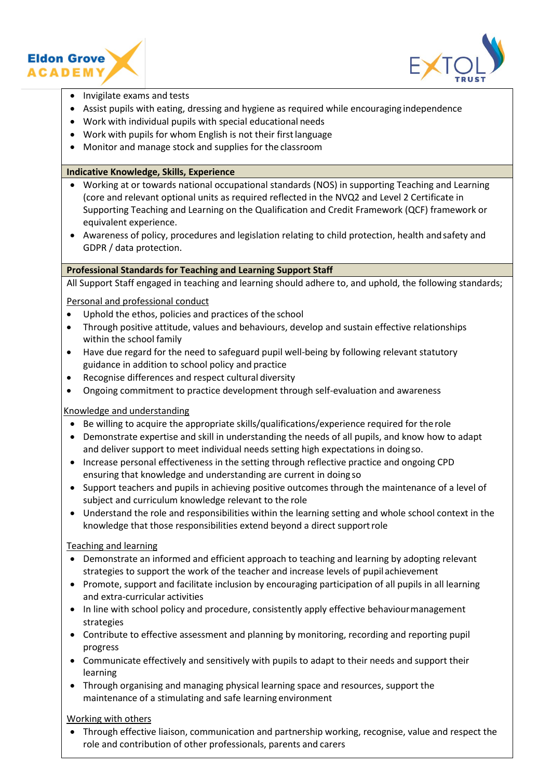



- Invigilate exams and tests
- Assist pupils with eating, dressing and hygiene as required while encouraging independence
- Work with individual pupils with special educational needs
- Work with pupils for whom English is not their first language
- Monitor and manage stock and supplies for the classroom

### **Indicative Knowledge, Skills, Experience**

- Working at or towards national occupational standards (NOS) in supporting Teaching and Learning (core and relevant optional units as required reflected in the NVQ2 and Level 2 Certificate in Supporting Teaching and Learning on the Qualification and Credit Framework (QCF) framework or equivalent experience.
- Awareness of policy, procedures and legislation relating to child protection, health and safety and GDPR / data protection.

#### **Professional Standards for Teaching and Learning Support Staff**

All Support Staff engaged in teaching and learning should adhere to, and uphold, the following standards;

Personal and professional conduct

- Uphold the ethos, policies and practices of the school
- Through positive attitude, values and behaviours, develop and sustain effective relationships within the school family
- Have due regard for the need to safeguard pupil well-being by following relevant statutory guidance in addition to school policy and practice
- Recognise differences and respect cultural diversity
- Ongoing commitment to practice development through self-evaluation and awareness

## Knowledge and understanding

- Be willing to acquire the appropriate skills/qualifications/experience required for the role
- Demonstrate expertise and skill in understanding the needs of all pupils, and know how to adapt and deliver support to meet individual needs setting high expectations in doing so.
- Increase personal effectiveness in the setting through reflective practice and ongoing CPD ensuring that knowledge and understanding are current in doing so
- Support teachers and pupils in achieving positive outcomes through the maintenance of a level of subject and curriculum knowledge relevant to the role
- Understand the role and responsibilities within the learning setting and whole school context in the knowledge that those responsibilities extend beyond a direct supportrole

Teaching and learning

- Demonstrate an informed and efficient approach to teaching and learning by adopting relevant strategies to support the work of the teacher and increase levels of pupil achievement
- Promote, support and facilitate inclusion by encouraging participation of all pupils in all learning and extra-curricular activities
- In line with school policy and procedure, consistently apply effective behaviourmanagement strategies
- Contribute to effective assessment and planning by monitoring, recording and reporting pupil progress
- Communicate effectively and sensitively with pupils to adapt to their needs and support their learning
- Through organising and managing physical learning space and resources, support the maintenance of a stimulating and safe learning environment

## Working with others

• Through effective liaison, communication and partnership working, recognise, value and respect the role and contribution of other professionals, parents and carers